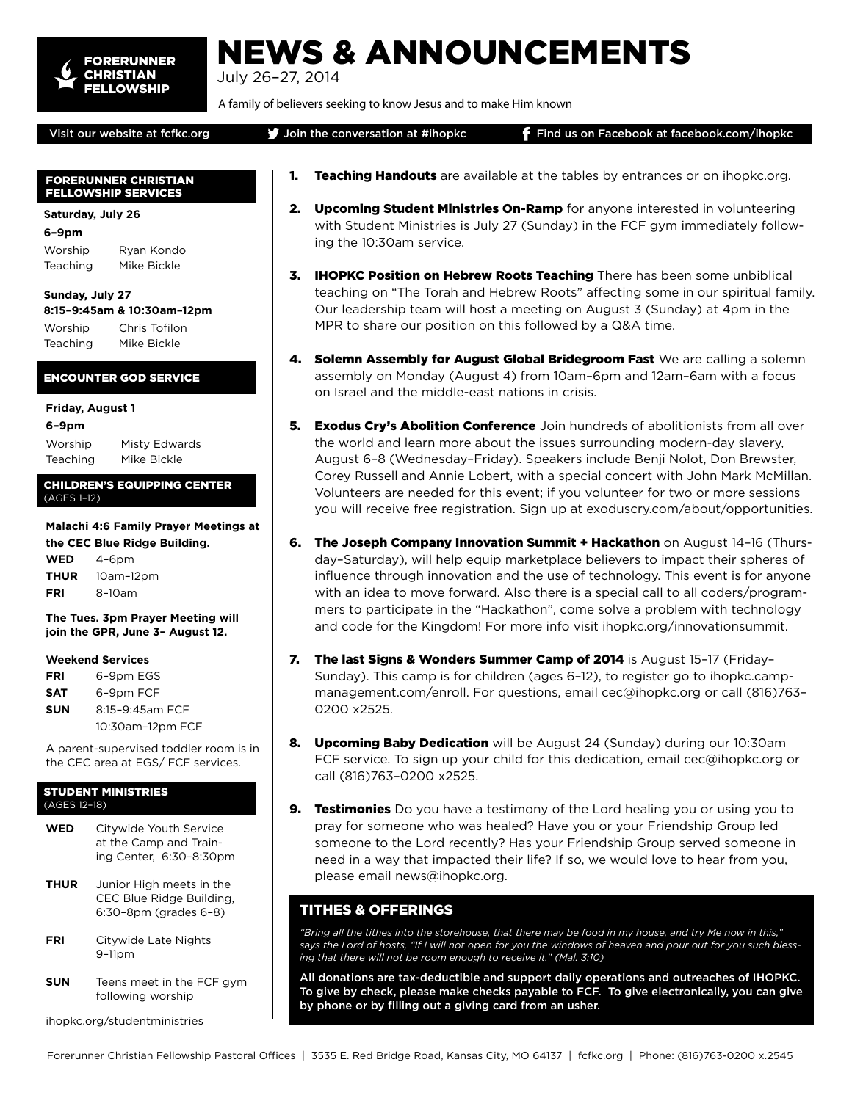

# NEWS & ANNOUNCEMENTS

July 26–27, 2014

A family of believers seeking to know Jesus and to make Him known

# Visit our website at fcfkc.org **J** Join the conversation at #ihopkc **F** Find us on Facebook at facebook.com/ihopkc

# FORERUNNER CHRISTIAN FELLOWSHIP SERVICES

# **Saturday, July 26**

**6–9pm**

Worship Ryan Kondo Teaching Mike Bickle

#### **Sunday, July 27 8:15–9:45am & 10:30am–12pm**

Worship Chris Tofilon Teaching Mike Bickle

ENCOUNTER GOD SERVICE

# **Friday, August 1**

**6–9pm**

Worship Misty Edwards Teaching Mike Bickle

# CHILDREN'S EQUIPPING CENTER (AGES 1–12)

#### **Malachi 4:6 Family Prayer Meetings at the CEC Blue Ridge Building.**

**WED** 4–6pm **THUR** 10am–12pm **FRI** 8–10am

**The Tues. 3pm Prayer Meeting will join the GPR, June 3– August 12.**

# **Weekend Services**

**FRI** 6–9pm EGS **SAT** 6–9pm FCF **SUN** 8:15–9:45am FCF 10:30am–12pm FCF

A parent-supervised toddler room is in the CEC area at EGS/ FCF services.

#### STUDENT MINISTRIES (AGES 12–18)

- **WED** Citywide Youth Service at the Camp and Training Center, 6:30–8:30pm
- **THUR** Junior High meets in the CEC Blue Ridge Building, 6:30–8pm (grades 6–8)
- **FRI** Citywide Late Nights 9–11pm
- **SUN** Teens meet in the FCF gym following worship

ihopkc.org/studentministries

- **1. Teaching Handouts** are available at the tables by entrances or on ihopkc.org.
- 2. Upcoming Student Ministries On-Ramp for anyone interested in volunteering with Student Ministries is July 27 (Sunday) in the FCF gym immediately following the 10:30am service.
- 3. IHOPKC Position on Hebrew Roots Teaching There has been some unbiblical teaching on "The Torah and Hebrew Roots" affecting some in our spiritual family. Our leadership team will host a meeting on August 3 (Sunday) at 4pm in the MPR to share our position on this followed by a Q&A time.
- 4. Solemn Assembly for August Global Bridegroom Fast We are calling a solemn assembly on Monday (August 4) from 10am–6pm and 12am–6am with a focus on Israel and the middle-east nations in crisis.
- **5. Exodus Cry's Abolition Conference** Join hundreds of abolitionists from all over the world and learn more about the issues surrounding modern-day slavery, August 6–8 (Wednesday–Friday). Speakers include Benji Nolot, Don Brewster, Corey Russell and Annie Lobert, with a special concert with John Mark McMillan. Volunteers are needed for this event; if you volunteer for two or more sessions you will receive free registration. Sign up at exoduscry.com/about/opportunities.
- 6. The Joseph Company Innovation Summit + Hackathon on August 14-16 (Thursday–Saturday), will help equip marketplace believers to impact their spheres of influence through innovation and the use of technology. This event is for anyone with an idea to move forward. Also there is a special call to all coders/programmers to participate in the "Hackathon", come solve a problem with technology and code for the Kingdom! For more info visit ihopkc.org/innovationsummit.
- 7. The last Signs & Wonders Summer Camp of 2014 is August 15–17 (Friday– Sunday). This camp is for children (ages 6–12), to register go to ihopkc.campmanagement.com/enroll. For questions, email cec@ihopkc.org or call (816)763– 0200 x2525.
- 8. Upcoming Baby Dedication will be August 24 (Sunday) during our 10:30am FCF service. To sign up your child for this dedication, email cec@ihopkc.org or call (816)763–0200 x2525.
- **9. Testimonies** Do you have a testimony of the Lord healing you or using you to pray for someone who was healed? Have you or your Friendship Group led someone to the Lord recently? Has your Friendship Group served someone in need in a way that impacted their life? If so, we would love to hear from you, please email news@ihopkc.org.

# TITHES & OFFERINGS

*"Bring all the tithes into the storehouse, that there may be food in my house, and try Me now in this," says the Lord of hosts, "If I will not open for you the windows of heaven and pour out for you such blessing that there will not be room enough to receive it." (Mal. 3:10)*

All donations are tax-deductible and support daily operations and outreaches of IHOPKC. To give by check, please make checks payable to FCF. To give electronically, you can give by phone or by filling out a giving card from an usher.